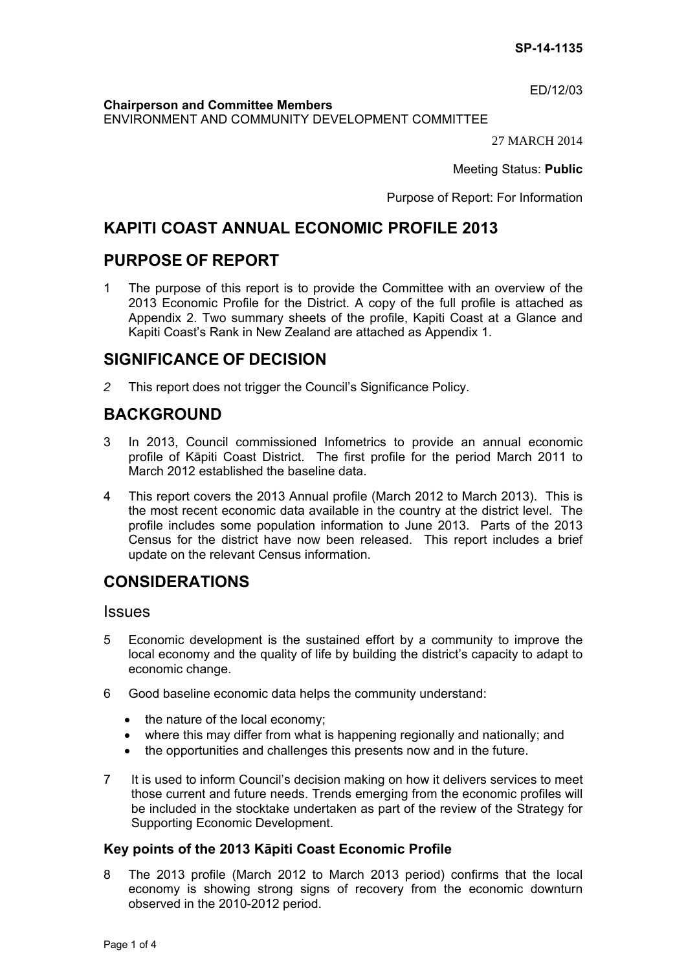ED/12/03

**Chairperson and Committee Members**

ENVIRONMENT AND COMMUNITY DEVELOPMENT COMMITTEE

27 MARCH 2014

Meeting Status: **Public**

Purpose of Report: For Information

# **KAPITI COAST ANNUAL ECONOMIC PROFILE 2013**

## **PURPOSE OF REPORT**

1 The purpose of this report is to provide the Committee with an overview of the 2013 Economic Profile for the District. A copy of the full profile is attached as Appendix 2. Two summary sheets of the profile, Kapiti Coast at a Glance and Kapiti Coast's Rank in New Zealand are attached as Appendix 1.

# **SIGNIFICANCE OF DECISION**

*2* This report does not trigger the Council's Significance Policy.

# **BACKGROUND**

- 3 In 2013, Council commissioned Infometrics to provide an annual economic profile of Kāpiti Coast District. The first profile for the period March 2011 to March 2012 established the baseline data.
- 4 This report covers the 2013 Annual profile (March 2012 to March 2013). This is the most recent economic data available in the country at the district level. The profile includes some population information to June 2013. Parts of the 2013 Census for the district have now been released. This report includes a brief update on the relevant Census information.

# **CONSIDERATIONS**

#### **Issues**

- 5 Economic development is the sustained effort by a community to improve the local economy and the quality of life by building the district's capacity to adapt to economic change.
- 6 Good baseline economic data helps the community understand:
	- $\bullet$  the nature of the local economy;
	- where this may differ from what is happening regionally and nationally; and
	- the opportunities and challenges this presents now and in the future.
- 7 It is used to inform Council's decision making on how it delivers services to meet those current and future needs. Trends emerging from the economic profiles will be included in the stocktake undertaken as part of the review of the Strategy for Supporting Economic Development.

## **Key points of the 2013 Kāpiti Coast Economic Profile**

8 The 2013 profile (March 2012 to March 2013 period) confirms that the local economy is showing strong signs of recovery from the economic downturn observed in the 2010-2012 period.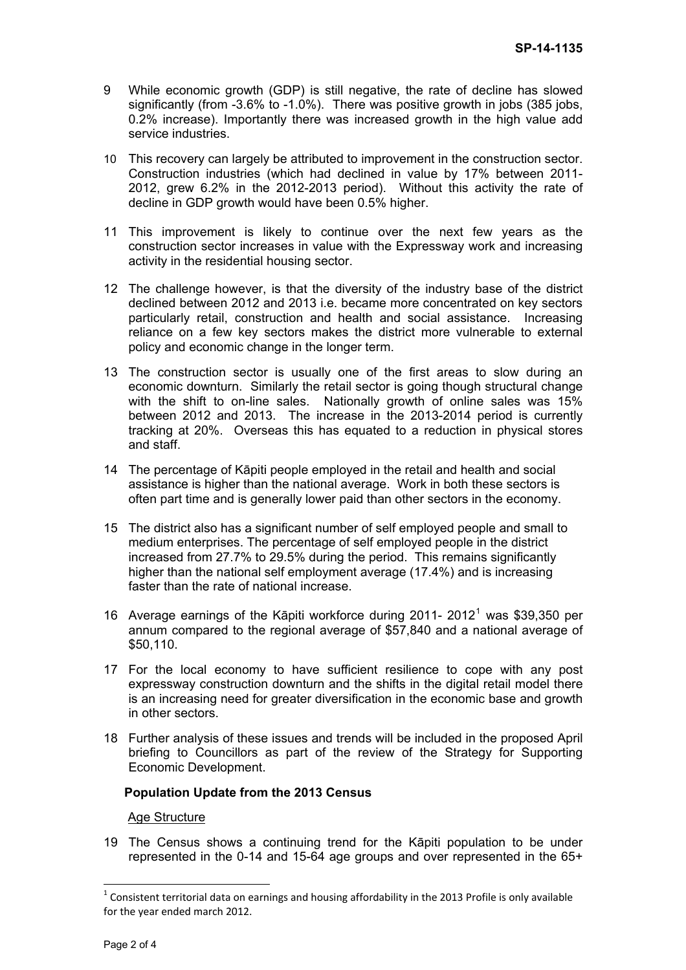- 9 While economic growth (GDP) is still negative, the rate of decline has slowed significantly (from -3.6% to -1.0%). There was positive growth in jobs (385 jobs, 0.2% increase). Importantly there was increased growth in the high value add service industries.
- 10 This recovery can largely be attributed to improvement in the construction sector. Construction industries (which had declined in value by 17% between 2011- 2012, grew 6.2% in the 2012-2013 period). Without this activity the rate of decline in GDP growth would have been 0.5% higher.
- 11 This improvement is likely to continue over the next few years as the construction sector increases in value with the Expressway work and increasing activity in the residential housing sector.
- 12 The challenge however, is that the diversity of the industry base of the district declined between 2012 and 2013 i.e. became more concentrated on key sectors particularly retail, construction and health and social assistance. Increasing reliance on a few key sectors makes the district more vulnerable to external policy and economic change in the longer term.
- 13 The construction sector is usually one of the first areas to slow during an economic downturn. Similarly the retail sector is going though structural change with the shift to on-line sales. Nationally growth of online sales was 15% between 2012 and 2013. The increase in the 2013-2014 period is currently tracking at 20%. Overseas this has equated to a reduction in physical stores and staff.
- 14 The percentage of Kāpiti people employed in the retail and health and social assistance is higher than the national average. Work in both these sectors is often part time and is generally lower paid than other sectors in the economy.
- 15 The district also has a significant number of self employed people and small to medium enterprises. The percentage of self employed people in the district increased from 27.7% to 29.5% during the period. This remains significantly higher than the national self employment average (17.4%) and is increasing faster than the rate of national increase.
- [1](#page-1-0)6 Average earnings of the Kāpiti workforce during 2011- 2012<sup>1</sup> was \$39,350 per annum compared to the regional average of \$57,840 and a national average of \$50,110.
- 17 For the local economy to have sufficient resilience to cope with any post expressway construction downturn and the shifts in the digital retail model there is an increasing need for greater diversification in the economic base and growth in other sectors.
- 18 Further analysis of these issues and trends will be included in the proposed April briefing to Councillors as part of the review of the Strategy for Supporting Economic Development.

#### **Population Update from the 2013 Census**

Age Structure

19 The Census shows a continuing trend for the Kāpiti population to be under represented in the 0-14 and 15-64 age groups and over represented in the 65+

<span id="page-1-0"></span> $1$  Consistent territorial data on earnings and housing affordability in the 2013 Profile is only available for the year ended march 2012.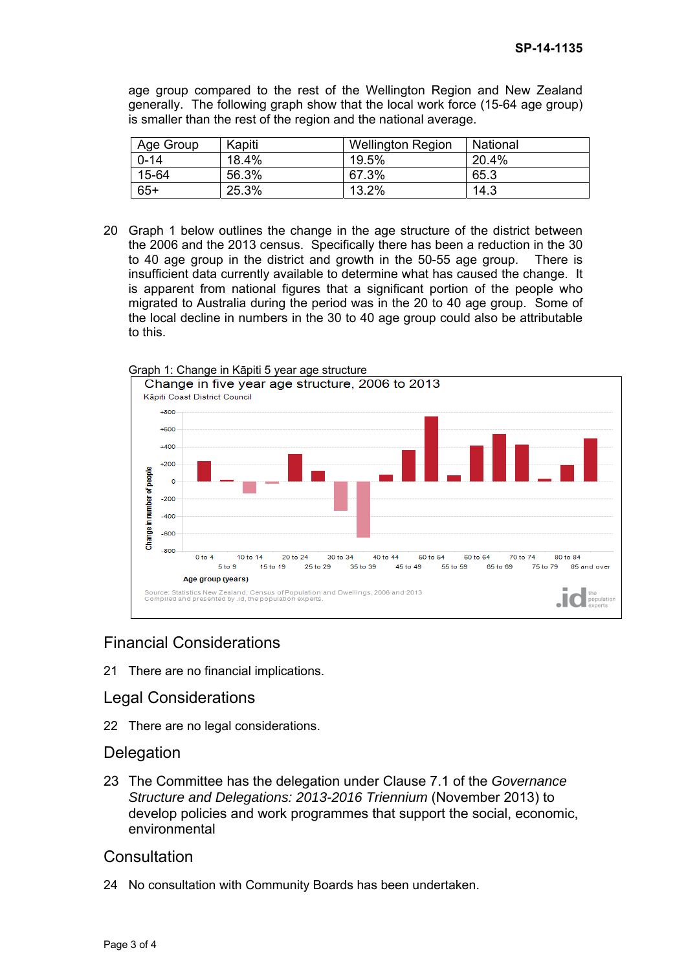age group compared to the rest of the Wellington Region and New Zealand generally. The following graph show that the local work force (15-64 age group) is smaller than the rest of the region and the national average.

| Age Group | Kapiti | <b>Wellington Region</b> | National |
|-----------|--------|--------------------------|----------|
| $0 - 14$  | 18.4%  | 19.5%                    | 20.4%    |
| 15-64     | 56.3%  | 67.3%                    | 65.3     |
| $65+$     | 25.3%  | 13.2%                    | 14.3     |

20 Graph 1 below outlines the change in the age structure of the district between the 2006 and the 2013 census. Specifically there has been a reduction in the 30 to 40 age group in the district and growth in the 50-55 age group. There is insufficient data currently available to determine what has caused the change. It is apparent from national figures that a significant portion of the people who migrated to Australia during the period was in the 20 to 40 age group. Some of the local decline in numbers in the 30 to 40 age group could also be attributable to this.



#### Graph 1: Change in Kāpiti 5 year age structure

## Financial Considerations

21 There are no financial implications.

## Legal Considerations

22 There are no legal considerations.

## **Delegation**

23 The Committee has the delegation under Clause 7.1 of the *Governance Structure and Delegations: 2013-2016 Triennium* (November 2013) to develop policies and work programmes that support the social, economic, environmental

## **Consultation**

24 No consultation with Community Boards has been undertaken.